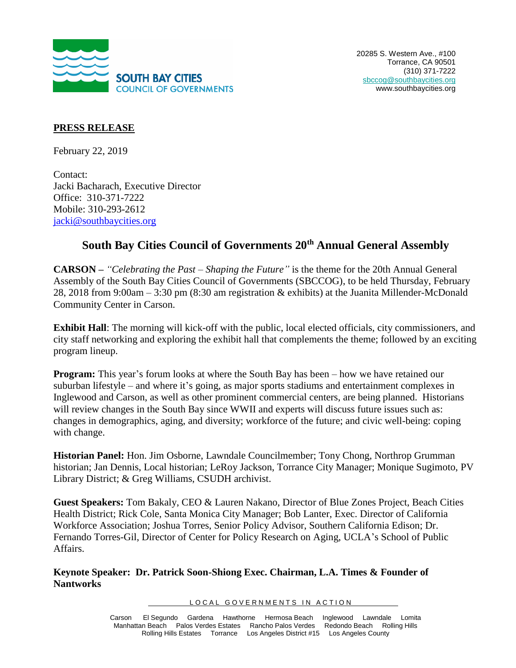

## **PRESS RELEASE**

February 22, 2019

Contact: Jacki Bacharach, Executive Director Office: 310-371-7222 Mobile: 310-293-2612 [jacki@southbaycities.org](mailto:jacki@southbaycities.org)

## **South Bay Cities Council of Governments 20th Annual General Assembly**

**CARSON –** *"Celebrating the Past – Shaping the Future"* is the theme for the 20th Annual General Assembly of the South Bay Cities Council of Governments (SBCCOG), to be held Thursday, February 28, 2018 from 9:00am – 3:30 pm (8:30 am registration & exhibits) at the Juanita Millender-McDonald Community Center in Carson.

**Exhibit Hall**: The morning will kick-off with the public, local elected officials, city commissioners, and city staff networking and exploring the exhibit hall that complements the theme; followed by an exciting program lineup.

**Program:** This year's forum looks at where the South Bay has been – how we have retained our suburban lifestyle – and where it's going, as major sports stadiums and entertainment complexes in Inglewood and Carson, as well as other prominent commercial centers, are being planned. Historians will review changes in the South Bay since WWII and experts will discuss future issues such as: changes in demographics, aging, and diversity; workforce of the future; and civic well-being: coping with change.

**Historian Panel:** Hon. Jim Osborne, Lawndale Councilmember; Tony Chong, Northrop Grumman historian; Jan Dennis, Local historian; LeRoy Jackson, Torrance City Manager; Monique Sugimoto, PV Library District; & Greg Williams, CSUDH archivist.

**Guest Speakers:** Tom Bakaly, CEO & Lauren Nakano, Director of Blue Zones Project, Beach Cities Health District; Rick Cole, Santa Monica City Manager; Bob Lanter, Exec. Director of California Workforce Association; Joshua Torres, Senior Policy Advisor, Southern California Edison; Dr. Fernando Torres-Gil, Director of Center for Policy Research on Aging, UCLA's School of Public Affairs.

**Keynote Speaker: Dr. Patrick Soon-Shiong Exec. Chairman, L.A. Times & Founder of Nantworks**

LOCAL GOVERNMENTS IN ACTION